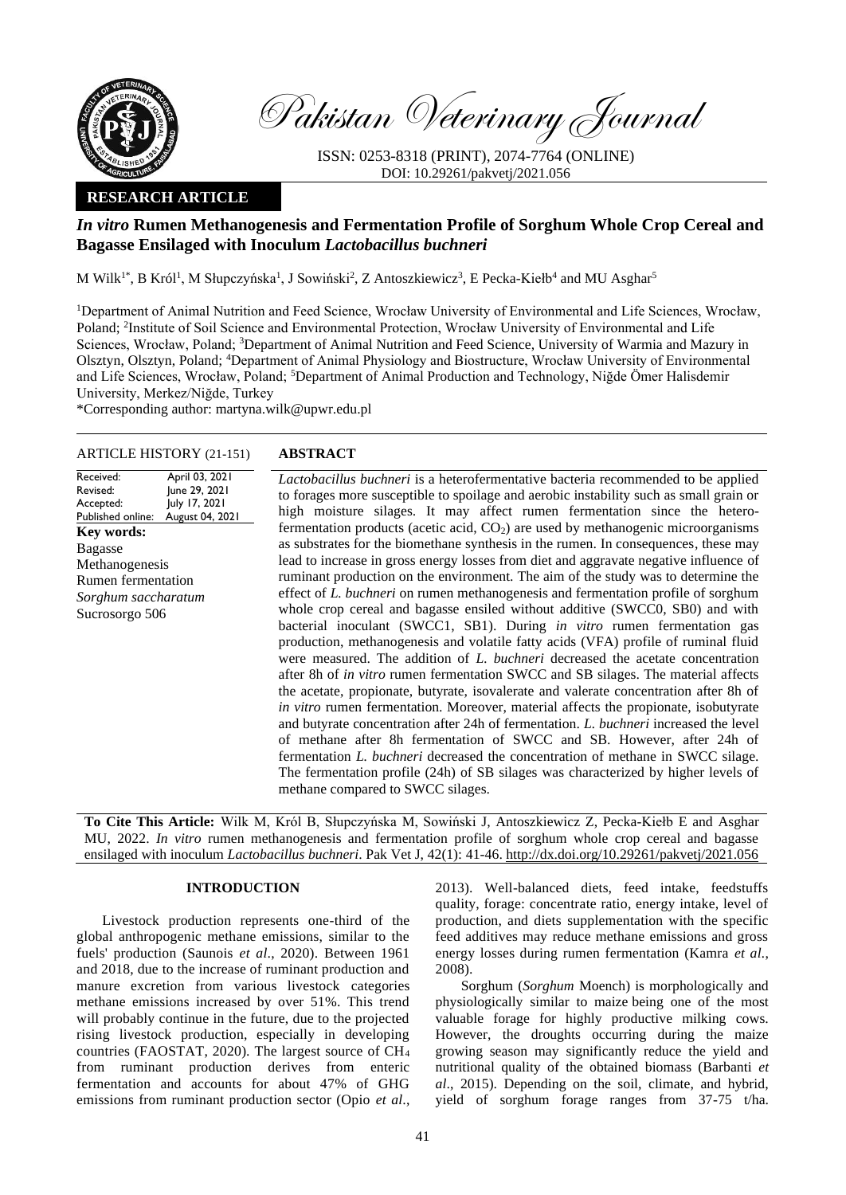

Pakistan Veterinary Journal

ISSN: 0253-8318 (PRINT), 2074-7764 (ONLINE) DOI: 10.29261/pakvetj/2021.056

# **RESEARCH ARTICLE**

# *In vitro* **Rumen Methanogenesis and Fermentation Profile of Sorghum Whole Crop Cereal and Bagasse Ensilaged with Inoculum** *Lactobacillus buchneri*

M Wilk<sup>1\*</sup>, B Król<sup>1</sup>, M Słupczyńska<sup>1</sup>, J Sowiński<sup>2</sup>, Z Antoszkiewicz<sup>3</sup>, E Pecka-Kiełb<sup>4</sup> and MU Asghar<sup>5</sup>

<sup>1</sup>Department of Animal Nutrition and Feed Science, Wrocław University of Environmental and Life Sciences, Wrocław, Poland; <sup>2</sup>Institute of Soil Science and Environmental Protection, Wrocław University of Environmental and Life Sciences, Wrocław, Poland; <sup>3</sup>Department of Animal Nutrition and Feed Science, University of Warmia and Mazury in Olsztyn, Olsztyn, Poland; <sup>4</sup>Department of Animal Physiology and Biostructure, Wrocław University of Environmental and Life Sciences, Wrocław, Poland; <sup>5</sup>Department of Animal Production and Technology, Niğde Ömer Halisdemir University, Merkez/Niğde, Turkey

\*Corresponding author: martyna.wilk@upwr.edu.pl

## ARTICLE HISTORY (21-151) **ABSTRACT**

Received: Revised: Accepted: Published online: April 03, 2021 June 29, 2021 July 17, 2021 August 04, 2021 **Key words:**  Bagasse Methanogenesis Rumen fermentation *Sorghum saccharatum* Sucrosorgo 506

*Lactobacillus buchneri* is a heterofermentative bacteria recommended to be applied to forages more susceptible to spoilage and aerobic instability such as small grain or high moisture silages. It may affect rumen fermentation since the heterofermentation products (acetic acid,  $CO<sub>2</sub>$ ) are used by methanogenic microorganisms as substrates for the biomethane synthesis in the rumen. In consequences, these may lead to increase in gross energy losses from diet and aggravate negative influence of ruminant production on the environment. The aim of the study was to determine the effect of *L. buchneri* on rumen methanogenesis and fermentation profile of sorghum whole crop cereal and bagasse ensiled without additive (SWCC0, SB0) and with bacterial inoculant (SWCC1, SB1). During *in vitro* rumen fermentation gas production, methanogenesis and volatile fatty acids (VFA) profile of ruminal fluid were measured. The addition of *L. buchneri* decreased the acetate concentration after 8h of *in vitro* rumen fermentation SWCC and SB silages. The material affects the acetate, propionate, butyrate, isovalerate and valerate concentration after 8h of *in vitro* rumen fermentation. Moreover, material affects the propionate, isobutyrate and butyrate concentration after 24h of fermentation. *L. buchneri* increased the level of methane after 8h fermentation of SWCC and SB. However, after 24h of fermentation *L. buchneri* decreased the concentration of methane in SWCC silage. The fermentation profile (24h) of SB silages was characterized by higher levels of methane compared to SWCC silages.

**To Cite This Article:** Wilk M, Król B, Słupczyńska M, Sowiński J, Antoszkiewicz Z, Pecka-Kiełb E and Asghar MU, 2022. *In vitro* rumen methanogenesis and fermentation profile of sorghum whole crop cereal and bagasse ensilaged with inoculum *Lactobacillus buchneri*. Pak Vet J, 42(1): 41-46[. http://dx.doi.org/10.29261/pakvetj/2021.056](http://pvj.com.pk/pdf-files/42_1/41-46.pdf)

#### **INTRODUCTION**

Livestock production represents one-third of the global anthropogenic methane emissions, similar to the fuels' production (Saunois *et al*., 2020). Between 1961 and 2018, due to the increase of ruminant production and manure excretion from various livestock categories methane emissions increased by over 51%. This trend will probably continue in the future, due to the projected rising livestock production, especially in developing countries (FAOSTAT, 2020). The largest source of CH<sup>4</sup> from ruminant production derives from enteric fermentation and accounts for about 47% of GHG emissions from ruminant production sector (Opio *et al*.,

2013). Well-balanced diets, feed intake, feedstuffs quality, forage: concentrate ratio, energy intake, level of production, and diets supplementation with the specific feed additives may reduce methane emissions and gross energy losses during rumen fermentation (Kamra *et al.*, 2008).

Sorghum (*Sorghum* Moench) is morphologically and physiologically similar to maize being one of the most valuable forage for highly productive milking cows. However, the droughts occurring during the maize growing season may significantly reduce the yield and nutritional quality of the obtained biomass (Barbanti *et al*., 2015). Depending on the soil, climate, and hybrid, yield of sorghum forage ranges from 37-75 t/ha.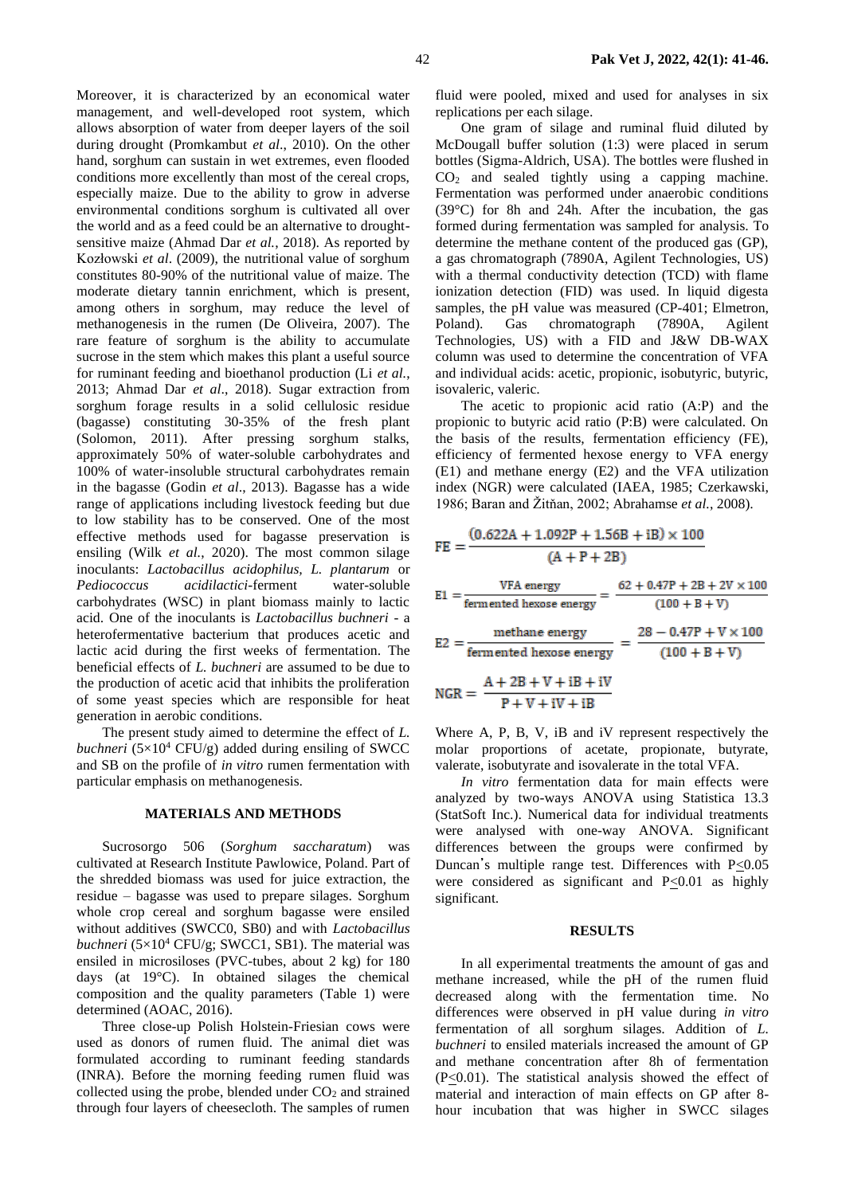Moreover, it is characterized by an economical water management, and well-developed root system, which allows absorption of water from deeper layers of the soil during drought (Promkambut *et al*., 2010). On the other hand, sorghum can sustain in wet extremes, even flooded conditions more excellently than most of the cereal crops, especially maize. Due to the ability to grow in adverse environmental conditions sorghum is cultivated all over the world and as a feed could be an alternative to droughtsensitive maize (Ahmad Dar *et al.*, 2018). As reported by Kozłowski *et al*. (2009), the nutritional value of sorghum constitutes 80-90% of the nutritional value of maize. The moderate dietary tannin enrichment, which is present, among others in sorghum, may reduce the level of methanogenesis in the rumen (De Oliveira, 2007). The rare feature of sorghum is the ability to accumulate sucrose in the stem which makes this plant a useful source for ruminant feeding and bioethanol production (Li *et al.*, 2013; Ahmad Dar *et al*., 2018). Sugar extraction from sorghum forage results in a solid cellulosic residue (bagasse) constituting 30-35% of the fresh plant (Solomon, 2011). After pressing sorghum stalks, approximately 50% of water-soluble carbohydrates and 100% of water-insoluble structural carbohydrates remain in the bagasse (Godin *et al*., 2013). Bagasse has a wide range of applications including livestock feeding but due to low stability has to be conserved. One of the most effective methods used for bagasse preservation is ensiling (Wilk *et al.*, 2020). The most common silage inoculants: *Lactobacillus acidophilus, L. plantarum* or *Pediococcus acidilactici*-ferment water-soluble carbohydrates (WSC) in plant biomass mainly to lactic acid. One of the inoculants is *Lactobacillus buchneri* - a heterofermentative bacterium that produces acetic and lactic acid during the first weeks of fermentation. The beneficial effects of *L. buchneri* are assumed to be due to the production of acetic acid that inhibits the proliferation of some yeast species which are responsible for heat generation in aerobic conditions.

The present study aimed to determine the effect of *L. buchneri* ( $5\times10^4$  CFU/g) added during ensiling of SWCC and SB on the profile of *in vitro* rumen fermentation with particular emphasis on methanogenesis.

## **MATERIALS AND METHODS**

Sucrosorgo 506 (*Sorghum saccharatum*) was cultivated at Research Institute Pawlowice, Poland. Part of the shredded biomass was used for juice extraction, the residue – bagasse was used to prepare silages. Sorghum whole crop cereal and sorghum bagasse were ensiled without additives (SWCC0, SB0) and with *Lactobacillus buchneri*  $(5\times10^4 \text{ CFU/g}$ ; SWCC1, SB1). The material was ensiled in microsiloses (PVC-tubes, about 2 kg) for 180 days (at 19°C). In obtained silages the chemical composition and the quality parameters (Table 1) were determined (AOAC, 2016).

Three close-up Polish Holstein-Friesian cows were used as donors of rumen fluid. The animal diet was formulated according to ruminant feeding standards (INRA). Before the morning feeding rumen fluid was collected using the probe, blended under  $CO<sub>2</sub>$  and strained through four layers of cheesecloth. The samples of rumen fluid were pooled, mixed and used for analyses in six replications per each silage.

One gram of silage and ruminal fluid diluted by McDougall buffer solution (1:3) were placed in serum bottles (Sigma-Aldrich, USA). The bottles were flushed in CO<sup>2</sup> and sealed tightly using a capping machine. Fermentation was performed under anaerobic conditions (39°C) for 8h and 24h. After the incubation, the gas formed during fermentation was sampled for analysis. To determine the methane content of the produced gas (GP), a gas chromatograph (7890A, Agilent Technologies, US) with a thermal conductivity detection (TCD) with flame ionization detection (FID) was used. In liquid digesta samples, the pH value was measured (CP-401; Elmetron, Poland). Gas chromatograph (7890A, Agilent Technologies, US) with a FID and J&W DB-WAX column was used to determine the concentration of VFA and individual acids: acetic, propionic, isobutyric, butyric, isovaleric, valeric.

The acetic to propionic acid ratio (A:P) and the propionic to butyric acid ratio (P:B) were calculated. On the basis of the results, fermentation efficiency (FE), efficiency of fermented hexose energy to VFA energy (E1) and methane energy (E2) and the VFA utilization index (NGR) were calculated (IAEA, 1985; Czerkawski, 1986; Baran and Žitňan, 2002; Abrahamse *et al.*, 2008).

$$
FE = \frac{(0.622A + 1.092P + 1.56B + iB) \times 100}{(A + P + 2B)}
$$
  
\n
$$
EI = \frac{VFA \text{ energy}}{\text{fermented hexose energy}} = \frac{62 + 0.47P + 2B + 2V \times 100}{(100 + B + V)}
$$
  
\n
$$
E2 = \frac{\text{method have been by the energy}}{\text{fermented hexose energy}} = \frac{28 - 0.47P + V \times 100}{(100 + B + V)}
$$
  
\n
$$
NGR = \frac{A + 2B + V + iB + iV}{P + V + iV + iB}
$$

Where A, P, B, V, iB and iV represent respectively the molar proportions of acetate, propionate, butyrate, valerate, isobutyrate and isovalerate in the total VFA.

*In vitro* fermentation data for main effects were analyzed by two-ways ANOVA using Statistica 13.3 (StatSoft Inc.). Numerical data for individual treatments were analysed with one-way ANOVA. Significant differences between the groups were confirmed by Duncan's multiple range test. Differences with P<0.05 were considered as significant and P<0.01 as highly significant.

#### **RESULTS**

In all experimental treatments the amount of gas and methane increased, while the pH of the rumen fluid decreased along with the fermentation time. No differences were observed in pH value during *in vitro* fermentation of all sorghum silages. Addition of *L. buchneri* to ensiled materials increased the amount of GP and methane concentration after 8h of fermentation  $(P \le 0.01)$ . The statistical analysis showed the effect of material and interaction of main effects on GP after 8 hour incubation that was higher in SWCC silages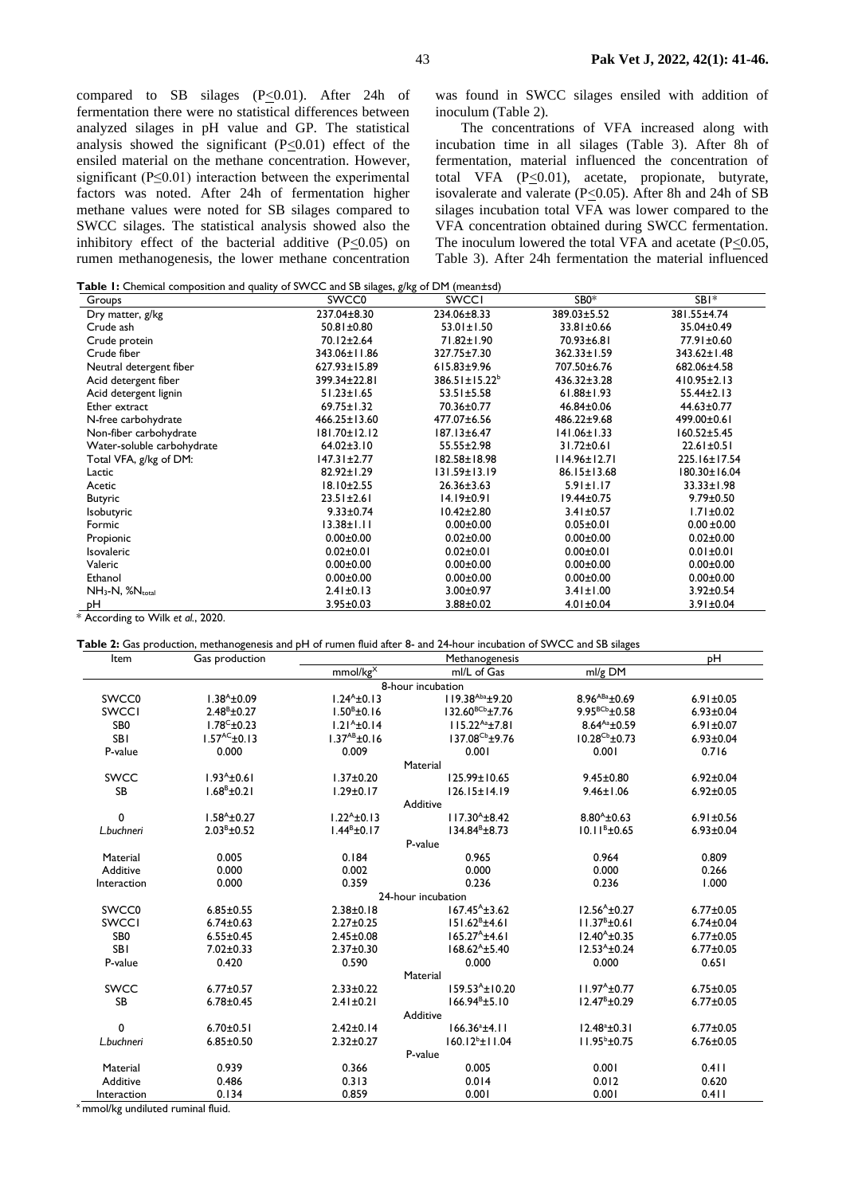compared to SB silages (P<0.01). After 24h of fermentation there were no statistical differences between analyzed silages in pH value and GP. The statistical analysis showed the significant  $(P \le 0.01)$  effect of the ensiled material on the methane concentration. However, significant (P≤0.01) interaction between the experimental factors was noted. After 24h of fermentation higher methane values were noted for SB silages compared to SWCC silages. The statistical analysis showed also the inhibitory effect of the bacterial additive  $(P<0.05)$  on rumen methanogenesis, the lower methane concentration was found in SWCC silages ensiled with addition of inoculum (Table 2).

The concentrations of VFA increased along with incubation time in all silages (Table 3). After 8h of fermentation, material influenced the concentration of total VFA  $(P \le 0.01)$ , acetate, propionate, butyrate, isovalerate and valerate ( $P \le 0.05$ ). After 8h and 24h of SB silages incubation total VFA was lower compared to the VFA concentration obtained during SWCC fermentation. The inoculum lowered the total VFA and acetate (P<0.05, Table 3). After 24h fermentation the material influenced

| Groups                      | SWCC0              | <b>SWCCI</b>         | SB <sub>0</sub> *  | SBI*              |
|-----------------------------|--------------------|----------------------|--------------------|-------------------|
| Dry matter, g/kg            | 237.04±8.30        | 234.06±8.33          | 389.03±5.52        | 381.55±4.74       |
| Crude ash                   | 50.81±0.80         | $53.01 \pm 1.50$     | 33.81±0.66         | 35.04±0.49        |
| Crude protein               | 70.12±2.64         | 71.82±1.90           | 70.93±6.81         | 77.91±0.60        |
| Crude fiber                 | 343.06±11.86       | 327.75±7.30          | 362.33±1.59        | 343.62±1.48       |
| Neutral detergent fiber     | 627.93±15.89       | 615.83±9.96          | 707.50±6.76        | 682.06±4.58       |
| Acid detergent fiber        | 399.34±22.81       | $386.51 \pm 15.22^b$ | 436.32±3.28        | $410.95 \pm 2.13$ |
| Acid detergent lignin       | $51.23 \pm 1.65$   | 53.51±5.58           | $61.88 \pm 1.93$   | $55.44 \pm 2.13$  |
| Ether extract               | $69.75 \pm 1.32$   | 70.36±0.77           | 46.84±0.06         | $44.63 \pm 0.77$  |
| N-free carbohydrate         | $466.25 \pm 13.60$ | 477.07±6.56          | 486.22±9.68        | 499.00±0.61       |
| Non-fiber carbohydrate      | 181.70±12.12       | 187.13±6.47          | 141.06±1.33        | $160.52 \pm 5.45$ |
| Water-soluble carbohydrate  | $64.02 \pm 3.10$   | $55.55 \pm 2.98$     | $31.72 \pm 0.61$   | $22.61 \pm 0.51$  |
| Total VFA, g/kg of DM:      | 147.31±2.77        | 182.58±18.98         | $114.96 \pm 12.71$ | 225.16±17.54      |
| Lactic                      | 82.92±1.29         | 131.59±13.19         | 86.15±13.68        | 180.30±16.04      |
| Acetic                      | 18.10±2.55         | $26.36 \pm 3.63$     | $5.91 \pm 1.17$    | 33.33±1.98        |
| <b>Butyric</b>              | $23.51 \pm 2.61$   | 14.19±0.91           | $19.44 \pm 0.75$   | $9.79 \pm 0.50$   |
| Isobutyric                  | $9.33 \pm 0.74$    | $10.42 \pm 2.80$     | $3.41 \pm 0.57$    | $1.71 \pm 0.02$   |
| Formic                      | $13.38 \pm 1.11$   | $0.00 \pm 0.00$      | $0.05 \pm 0.01$    | $0.00 \pm 0.00$   |
| Propionic                   | $0.00 \pm 0.00$    | $0.02 \pm 0.00$      | $0.00 \pm 0.00$    | $0.02 \pm 0.00$   |
| Isovaleric                  | $0.02 \pm 0.01$    | $0.02 \pm 0.01$      | $0.00 \pm 0.01$    | $0.01 \pm 0.01$   |
| Valeric                     | $0.00 \pm 0.00$    | $0.00 \pm 0.00$      | $0.00 \pm 0.00$    | $0.00 \pm 0.00$   |
| Ethanol                     | $0.00 \pm 0.00$    | $0.00 \pm 0.00$      | $0.00 \pm 0.00$    | $0.00 \pm 0.00$   |
| NH <sub>3</sub> -N, %Ntotal | $2.41 \pm 0.13$    | $3.00 \pm 0.97$      | $3.41 \pm 1.00$    | $3.92 \pm 0.54$   |
| рH                          | $3.95 \pm 0.03$    | $3.88 \pm 0.02$      | $4.01 \pm 0.04$    | 3.91±0.04         |

According to Wilk *et al.*, 2020.

**Table 2:** Gas production, methanogenesis and pH of rumen fluid after 8- and 24-hour incubation of SWCC and SB silages

| Item              | Gas production            |                          | pH                         |                           |                 |  |  |  |
|-------------------|---------------------------|--------------------------|----------------------------|---------------------------|-----------------|--|--|--|
|                   |                           | mmol/kg <sup>X</sup>     | ml/L of Gas                | ml/g DM                   |                 |  |  |  |
| 8-hour incubation |                           |                          |                            |                           |                 |  |  |  |
| SWCC0             | $1.38^{A} \pm 0.09$       | $1.24^{A} \pm 0.13$      | 119.38Aba±9.20             | $8.96^{ABa} \pm 0.69$     | $6.91 \pm 0.05$ |  |  |  |
| <b>SWCCI</b>      | $2.48^{\text{B}}\pm 0.27$ | $1.50^{\text{B}}\pm0.16$ | $132.60^{BCb} \pm 7.76$    | 9.95 <sup>BCb</sup> ±0.58 | $6.93 \pm 0.04$ |  |  |  |
| SB <sub>0</sub>   | $1.78^{\circ}$ ±0.23      | $1.21^{A} \pm 0.14$      | $115.22^{Aa}$ ±7.81        | $8.64^{Aa} \pm 0.59$      | $6.91 \pm 0.07$ |  |  |  |
| <b>SBI</b>        | $1.57^{AC}$ $\pm$ 0.13    | $1.37^{AB}$ ±0.16        | 137.08 <sup>Cb</sup> ±9.76 | $10.28^{Cb} \pm 0.73$     | $6.93 \pm 0.04$ |  |  |  |
| P-value           | 0.000                     | 0.009                    | 0.001                      | 0.001                     | 0.716           |  |  |  |
| Material          |                           |                          |                            |                           |                 |  |  |  |
| <b>SWCC</b>       | $1.93^{A}$ ±0.61          | $1.37 \pm 0.20$          | 125.99±10.65               | $9.45 \pm 0.80$           | $6.92 \pm 0.04$ |  |  |  |
| <b>SB</b>         | $1.68^{\text{B}}\pm0.21$  | $1.29 \pm 0.17$          | $126.15 \pm 14.19$         | $9.46 \pm 1.06$           | $6.92 \pm 0.05$ |  |  |  |
|                   | Additive                  |                          |                            |                           |                 |  |  |  |
| $\mathbf 0$       | $1.58^{A}$ ± 0.27         | $1.22A \pm 0.13$         | $117.30^{A} \pm 8.42$      | $8.80^{A}$ ± 0.63         | $6.91 \pm 0.56$ |  |  |  |
| L.buchneri        | $2.03^{\text{B}}\pm 0.52$ | $1.44^B \pm 0.17$        | $134.84^{B} \pm 8.73$      | $10.11B \pm 0.65$         | $6.93 \pm 0.04$ |  |  |  |
|                   |                           |                          | P-value                    |                           |                 |  |  |  |
| Material          | 0.005                     | 0.184                    | 0.965                      | 0.964                     | 0.809           |  |  |  |
| Additive          | 0.000                     | 0.002                    | 0.000                      | 0.000                     | 0.266           |  |  |  |
| Interaction       | 0.000                     | 0.359                    | 0.236                      | 0.236                     | 1.000           |  |  |  |
|                   |                           |                          | 24-hour incubation         |                           |                 |  |  |  |
| SWCC0             | $6.85 \pm 0.55$           | $2.38 \pm 0.18$          | $167.45^{A} \pm 3.62$      | $12.56^{A} \pm 0.27$      | $6.77 \pm 0.05$ |  |  |  |
| <b>SWCCI</b>      | $6.74 \pm 0.63$           | $2.27 \pm 0.25$          | $151.62^B \pm 4.61$        | $11.37^{\text{B}}\pm0.61$ | $6.74 \pm 0.04$ |  |  |  |
| SB <sub>0</sub>   | $6.55 \pm 0.45$           | $2.45 \pm 0.08$          | $165.27^{\text{A}}$ ±4.61  | $12.40^{A} \pm 0.35$      | $6.77 \pm 0.05$ |  |  |  |
| <b>SBI</b>        | $7.02 \pm 0.33$           | $2.37 \pm 0.30$          | $168.62^{A} \pm 5.40$      | $12.53^{A} \pm 0.24$      | $6.77 \pm 0.05$ |  |  |  |
| P-value           | 0.420                     | 0.590                    | 0.000                      | 0.000                     | 0.651           |  |  |  |
|                   |                           |                          | Material                   |                           |                 |  |  |  |
| <b>SWCC</b>       | $6.77 \pm 0.57$           | $2.33 \pm 0.22$          | $159.53^{A} \pm 10.20$     | $11.97A$ ±0.77            | $6.75 \pm 0.05$ |  |  |  |
| <b>SB</b>         | $6.78 \pm 0.45$           | $2.41 \pm 0.21$          | $166.94^B \pm 5.10$        | $12.47^{\text{B}}\pm0.29$ | $6.77 \pm 0.05$ |  |  |  |
| Additive          |                           |                          |                            |                           |                 |  |  |  |
| $\mathbf 0$       | $6.70 \pm 0.51$           | $2.42 \pm 0.14$          | $166.36^a \pm 4.11$        | $12.48^a \pm 0.31$        | $6.77 \pm 0.05$ |  |  |  |
| L.buchneri        | $6.85 \pm 0.50$           | $2.32 \pm 0.27$          | $160.12^{b}$ ±11.04        | $11.95^{\circ}$ ±0.75     | $6.76 \pm 0.05$ |  |  |  |
| P-value           |                           |                          |                            |                           |                 |  |  |  |
| Material          | 0.939                     | 0.366                    | 0.005                      | 0.001                     | 0.411           |  |  |  |
| Additive          | 0.486                     | 0.313                    | 0.014                      | 0.012                     | 0.620           |  |  |  |
| Interaction       | 0.134                     | 0.859                    | 0.001                      | 0.001                     | 0.411           |  |  |  |

x mmol/kg undiluted ruminal fluid.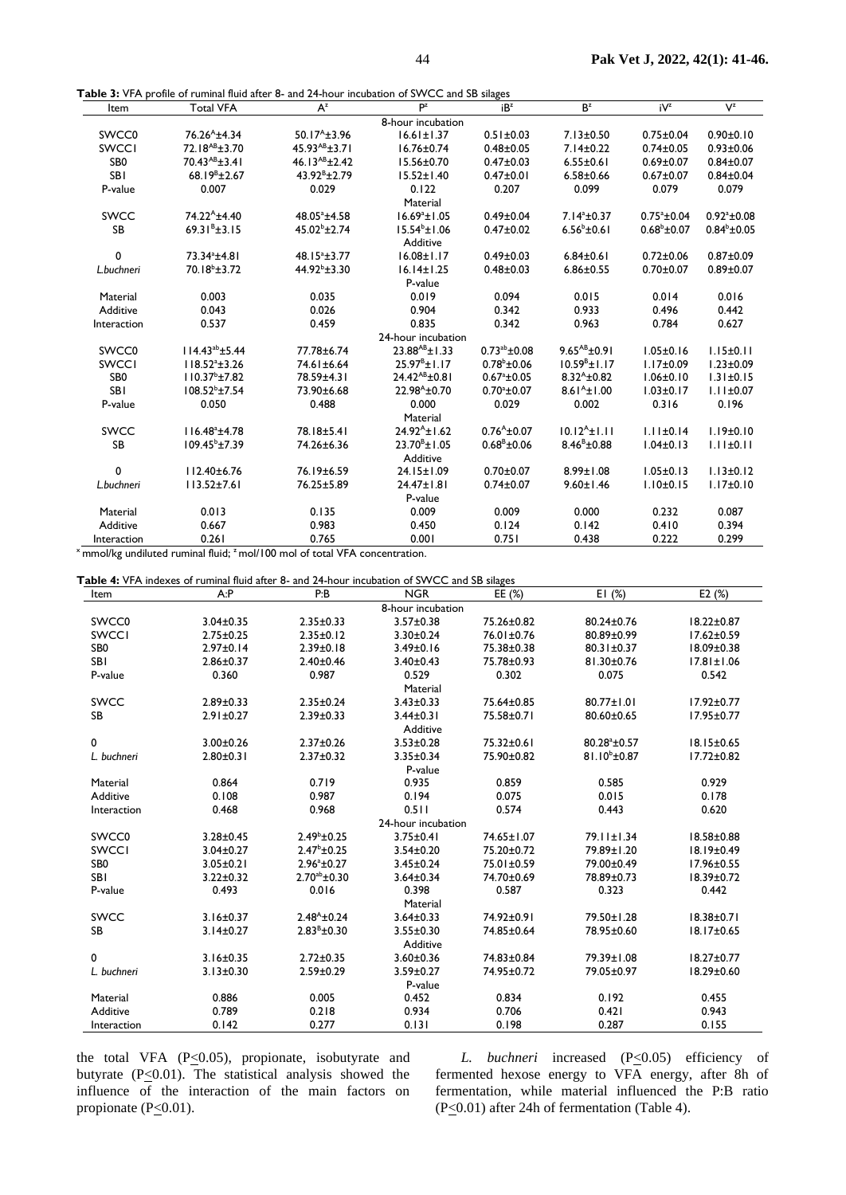**Table 3:** VFA profile of ruminal fluid after 8- and 24-hour incubation of SWCC and SB silages

| Item                                                         | able 3. YEA prome or running haid area of and 24-hour incubation or 3 YEC and 3D snages<br><b>Total VFA</b> | $A^z$                      | Pz                     | iB <sup>z</sup>         | B <sup>z</sup>           | iV <sup>z</sup>      | $V^z$                |
|--------------------------------------------------------------|-------------------------------------------------------------------------------------------------------------|----------------------------|------------------------|-------------------------|--------------------------|----------------------|----------------------|
|                                                              |                                                                                                             |                            | 8-hour incubation      |                         |                          |                      |                      |
| SWCC0                                                        | $76.26^{A}$ ±4.34                                                                                           | $50.17^{A} \pm 3.96$       | $16.61 \pm 1.37$       | $0.51 \pm 0.03$         | $7.13 \pm 0.50$          | $0.75 \pm 0.04$      | $0.90 \pm 0.10$      |
| <b>SWCCI</b>                                                 | 72.18 <sup>AB</sup> ±3.70                                                                                   | $45.93^{AB} \pm 3.71$      | $16.76 \pm 0.74$       | $0.48 + 0.05$           | $7.14 \pm 0.22$          | $0.74 \pm 0.05$      | $0.93 \pm 0.06$      |
| SB <sub>0</sub>                                              | $70.43^{AB} \pm 3.41$                                                                                       | 46.13 $AB + 2.42$          | 15.56±0.70             | $0.47 \pm 0.03$         | $6.55 \pm 0.61$          | $0.69 \pm 0.07$      | $0.84 \pm 0.07$      |
| <b>SBI</b>                                                   | $68.19^{B} \pm 2.67$                                                                                        | $43.92^{\text{B}}\pm 2.79$ | $15.52 \pm 1.40$       | $0.47 + 0.01$           | $6.58 \pm 0.66$          | $0.67 \pm 0.07$      | $0.84 \pm 0.04$      |
| P-value                                                      | 0.007                                                                                                       | 0.029                      | 0.122                  | 0.207                   | 0.099                    | 0.079                | 0.079                |
|                                                              |                                                                                                             |                            | Material               |                         |                          |                      |                      |
| <b>SWCC</b>                                                  | 74.22 <sup>A</sup> ±4.40                                                                                    | $48.05^{\circ}$ ±4.58      | $16.69^{\circ}$ ±1.05  | $0.49 \pm 0.04$         | $7.14^a \pm 0.37$        | $0.75^{\circ}$ ±0.04 | $0.92^{\circ}$ ±0.08 |
| <b>SB</b>                                                    | $69.31^{B} \pm 3.15$                                                                                        | $45.02^{\circ}$ ±2.74      | $15.54^{\circ}$ ±1.06  | $0.47 \pm 0.02$         | $6.56^{\circ}$ ±0.61     | $0.68^{\rm b}$ ±0.07 | $0.84^{\rm b}$ ±0.05 |
|                                                              |                                                                                                             |                            | Additive               |                         |                          |                      |                      |
| 0                                                            | 73.34 <sup>a</sup> ±4.81                                                                                    | $48.15^{\circ}$ ±3.77      | $16.08 \pm 1.17$       | $0.49 \pm 0.03$         | $6.84 \pm 0.61$          | $0.72 \pm 0.06$      | $0.87 + 0.09$        |
| L.buchneri                                                   | $70.18^{b} \pm 3.72$                                                                                        | $44.92^{\circ}$ ±3.30      | $16.14 \pm 1.25$       | $0.48 \pm 0.03$         | $6.86 \pm 0.55$          | $0.70 \pm 0.07$      | $0.89 + 0.07$        |
|                                                              |                                                                                                             |                            | P-value                |                         |                          |                      |                      |
| Material                                                     | 0.003                                                                                                       | 0.035                      | 0.019                  | 0.094                   | 0.015                    | 0.014                | 0.016                |
| Additive                                                     | 0.043                                                                                                       | 0.026                      | 0.904                  | 0.342                   | 0.933                    | 0.496                | 0.442                |
| Interaction                                                  | 0.537                                                                                                       | 0.459                      | 0.835                  | 0.342                   | 0.963                    | 0.784                | 0.627                |
|                                                              |                                                                                                             |                            | 24-hour incubation     |                         |                          |                      |                      |
| SWCC <sub>0</sub>                                            | $114.43^{ab} \pm 5.44$                                                                                      | 77.78±6.74                 | $23.88^{AB} \pm 1.33$  | $0.73^{ab}$ ± 0.08      | $9.65^{AB}$ ± 0.91       | $1.05 \pm 0.16$      | $1.15 \pm 0.11$      |
| <b>SWCCI</b>                                                 | $118.52^{a} \pm 3.26$                                                                                       | 74.61±6.64                 | $25.97^{\circ}$ ±1.17  | $0.78^{\rm b}$ ±0.06    | $10.59B \pm 1.17$        | $1.17 \pm 0.09$      | $1.23 \pm 0.09$      |
| SB <sub>0</sub>                                              | $110.37^{\circ}$ ±7.82                                                                                      | 78.59±4.31                 | $24.42^{AB} \pm 0.81$  | $0.67^{\circ}$ ±0.05    | $8.32^{A}$ ± 0.82        | $1.06 \pm 0.10$      | $1.31 \pm 0.15$      |
| <b>SBI</b>                                                   | $108.52^{\circ}$ ±7.54                                                                                      | 73.90±6.68                 | $22.98^{A} \pm 0.70$   | $0.70^a \pm 0.07$       | $8.61^{4}$ ±1.00         | $1.03 \pm 0.17$      | $1.11 \pm 0.07$      |
| P-value                                                      | 0.050                                                                                                       | 0.488                      | 0.000                  | 0.029                   | 0.002                    | 0.316                | 0.196                |
|                                                              |                                                                                                             |                            | Material               |                         |                          |                      |                      |
| <b>SWCC</b>                                                  | $116.48^{\circ}$ ±4.78                                                                                      | 78.18±5.41                 | $74.92^{A} + 1.62$     | $0.76^{A}+0.07$         | $10.12^{A} + 1.11$       | $1.11 \pm 0.14$      | $1.19 \pm 0.10$      |
| <b>SB</b>                                                    | $109.45^{\circ}$ ±7.39                                                                                      | 74.26±6.36                 | $23.70^{\circ}$ ± 1.05 | $0.68^{\text{B}}$ ±0.06 | $8.46^{\text{B}}\pm0.88$ | $1.04 \pm 0.13$      | $1.11 \pm 0.11$      |
|                                                              |                                                                                                             |                            | Additive               |                         |                          |                      |                      |
| 0                                                            | $112.40 \pm 6.76$                                                                                           | 76.19±6.59                 | $24.15 \pm 1.09$       | $0.70 + 0.07$           | $8.99 \pm 1.08$          | $1.05 \pm 0.13$      | $1.13 \pm 0.12$      |
| L.buchneri                                                   | $113.52 \pm 7.61$                                                                                           | 76.25±5.89                 | $24.47 \pm 1.81$       | $0.74 \pm 0.07$         | $9.60 \pm 1.46$          | $1.10 \pm 0.15$      | $1.17 \pm 0.10$      |
|                                                              |                                                                                                             |                            | P-value                |                         |                          |                      |                      |
| Material                                                     | 0.013                                                                                                       | 0.135                      | 0.009                  | 0.009                   | 0.000                    | 0.232                | 0.087                |
| Additive                                                     | 0.667                                                                                                       | 0.983                      | 0.450                  | 0.124                   | 0.142                    | 0.410                | 0.394                |
| Interaction<br>$\mathbf{u}$<br>$\mathbf{1} \cdot \mathbf{1}$ | 0.261<br>$\overline{1}$ $\overline{2}$ $\overline{1}$ $\overline{2}$ $\overline{1}$ $\overline{2}$          | 0.765                      | 0.001                  | 0.751                   | 0.438                    | 0.222                | 0.299                |

x<sub>mmol/kg</sub> undiluted ruminal fluid; <sup>z</sup> mol/100 mol of total VFA concentration.

**Table 4:** VFA indexes of ruminal fluid after 8- and 24-hour incubation of SWCC and SB silages

| Item              | A: P            | P:B                  | <b>NGR</b>         | EE $(%)$         | E1(%)                 | E2(%)            |  |
|-------------------|-----------------|----------------------|--------------------|------------------|-----------------------|------------------|--|
| 8-hour incubation |                 |                      |                    |                  |                       |                  |  |
| SWCC0             | $3.04 \pm 0.35$ | $2.35 \pm 0.33$      | $3.57 \pm 0.38$    | 75.26±0.82       | 80.24±0.76            | $18.22 \pm 0.87$ |  |
| <b>SWCCI</b>      | $2.75 \pm 0.25$ | $2.35 \pm 0.12$      | $3.30 \pm 0.24$    | 76.01±0.76       | 80.89±0.99            | $17.62 \pm 0.59$ |  |
| SB <sub>0</sub>   | $2.97 \pm 0.14$ | $2.39 \pm 0.18$      | $3.49 \pm 0.16$    | 75.38±0.38       | $80.31 \pm 0.37$      | $18.09 \pm 0.38$ |  |
| <b>SBI</b>        | $2.86 \pm 0.37$ | $2.40 \pm 0.46$      | $3.40 \pm 0.43$    | 75.78±0.93       | $81.30 \pm 0.76$      | $17.81 \pm 1.06$ |  |
| P-value           | 0.360           | 0.987                | 0.529              | 0.302            | 0.075                 | 0.542            |  |
| Material          |                 |                      |                    |                  |                       |                  |  |
| <b>SWCC</b>       | $2.89 \pm 0.33$ | $2.35 \pm 0.24$      | $3.43 \pm 0.33$    | 75.64±0.85       | $80.77 \pm 1.01$      | $17.92 \pm 0.77$ |  |
| <b>SB</b>         | $2.91 \pm 0.27$ | $2.39 \pm 0.33$      | $3.44 \pm 0.31$    | 75.58±0.71       | 80.60±0.65            | $17.95 \pm 0.77$ |  |
|                   |                 |                      | Additive           |                  |                       |                  |  |
| 0                 | $3.00 \pm 0.26$ | $2.37 \pm 0.26$      | $3.53 \pm 0.28$    | 75.32±0.61       | $80.28^{\circ}$ ±0.57 | $18.15 \pm 0.65$ |  |
| L. buchneri       | $2.80 \pm 0.31$ | $2.37 \pm 0.32$      | $3.35 \pm 0.34$    | 75.90±0.82       | $81.10^{b} \pm 0.87$  | $17.72 \pm 0.82$ |  |
|                   |                 |                      | P-value            |                  |                       |                  |  |
| Material          | 0.864           | 0.719                | 0.935              | 0.859            | 0.585                 | 0.929            |  |
| Additive          | 0.108           | 0.987                | 0.194              | 0.075            | 0.015                 | 0.178            |  |
| Interaction       | 0.468           | 0.968                | 0.511              | 0.574            | 0.443                 | 0.620            |  |
|                   |                 |                      | 24-hour incubation |                  |                       |                  |  |
| SWCC0             | $3.28 \pm 0.45$ | $2.49^{\circ}$ ±0.25 | $3.75 \pm 0.41$    | 74.65±1.07       | 79.11±1.34            | $18.58 \pm 0.88$ |  |
| <b>SWCCI</b>      | $3.04 \pm 0.27$ | $2.47^{\rm b}$ ±0.25 | $3.54 \pm 0.20$    | 75.20±0.72       | 79.89±1.20            | $18.19 \pm 0.49$ |  |
| SB <sub>0</sub>   | $3.05 \pm 0.21$ | $2.96^a \pm 0.27$    | $3.45 \pm 0.24$    | $75.01 \pm 0.59$ | 79.00±0.49            | $17.96 \pm 0.55$ |  |
| <b>SBI</b>        | $3.22 \pm 0.32$ | $2.70^{ab}$ ± 0.30   | $3.64 \pm 0.34$    | 74.70±0.69       | 78.89±0.73            | 18.39±0.72       |  |
| P-value           | 0.493           | 0.016                | 0.398              | 0.587            | 0.323                 | 0.442            |  |
|                   |                 |                      | Material           |                  |                       |                  |  |
| <b>SWCC</b>       | $3.16 \pm 0.37$ | $2.48^{A} \pm 0.24$  | $3.64 \pm 0.33$    | 74.92±0.91       | 79.50±1.28            | $18.38 \pm 0.71$ |  |
| <b>SB</b>         | $3.14 \pm 0.27$ | $2.83^B \pm 0.30$    | $3.55 \pm 0.30$    | 74.85±0.64       | 78.95±0.60            | 18.17±0.65       |  |
| Additive          |                 |                      |                    |                  |                       |                  |  |
| 0                 | $3.16 \pm 0.35$ | $2.72 \pm 0.35$      | $3.60 \pm 0.36$    | 74.83±0.84       | 79.39±1.08            | $18.27 \pm 0.77$ |  |
| L. buchneri       | $3.13 \pm 0.30$ | $2.59 \pm 0.29$      | 3.59±0.27          | 74.95±0.72       | 79.05±0.97            | 18.29±0.60       |  |
| P-value           |                 |                      |                    |                  |                       |                  |  |
| Material          | 0.886           | 0.005                | 0.452              | 0.834            | 0.192                 | 0.455            |  |
| Additive          | 0.789           | 0.218                | 0.934              | 0.706            | 0.421                 | 0.943            |  |
| Interaction       | 0.142           | 0.277                | 0.131              | 0.198            | 0.287                 | 0.155            |  |

the total VFA  $(P \le 0.05)$ , propionate, isobutyrate and butyrate  $(P \le 0.01)$ . The statistical analysis showed the influence of the interaction of the main factors on propionate ( $P \leq 0.01$ ).

*L. buchneri* increased  $(P \le 0.05)$  efficiency of fermented hexose energy to VFA energy, after 8h of fermentation, while material influenced the P:B ratio (P $\leq$ 0.01) after 24h of fermentation (Table 4).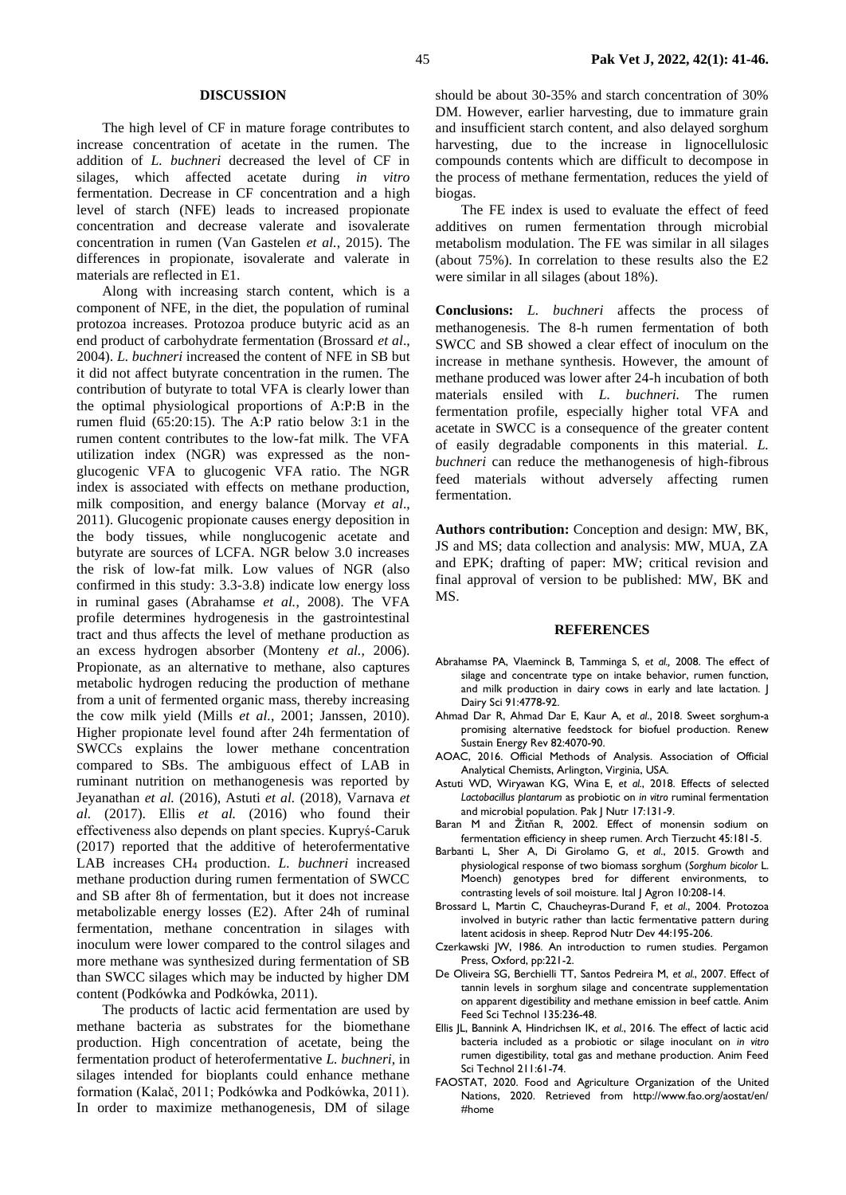#### **DISCUSSION**

The high level of CF in mature forage contributes to increase concentration of acetate in the rumen. The addition of *L. buchneri* decreased the level of CF in silages, which affected acetate during *in vitro* fermentation. Decrease in CF concentration and a high level of starch (NFE) leads to increased propionate concentration and decrease valerate and isovalerate concentration in rumen (Van Gastelen *et al.*, 2015). The differences in propionate, isovalerate and valerate in materials are reflected in E1.

Along with increasing starch content, which is a component of NFE, in the diet, the population of ruminal protozoa increases. Protozoa produce butyric acid as an end product of carbohydrate fermentation (Brossard *et al*., 2004). *L. buchneri* increased the content of NFE in SB but it did not affect butyrate concentration in the rumen. The contribution of butyrate to total VFA is clearly lower than the optimal physiological proportions of A:P:B in the rumen fluid (65:20:15). The A:P ratio below 3:1 in the rumen content contributes to the low-fat milk. The VFA utilization index (NGR) was expressed as the nonglucogenic VFA to glucogenic VFA ratio. The NGR index is associated with effects on methane production, milk composition, and energy balance (Morvay *et al*., 2011). Glucogenic propionate causes energy deposition in the body tissues, while nonglucogenic acetate and butyrate are sources of LCFA. NGR below 3.0 increases the risk of low-fat milk. Low values of NGR (also confirmed in this study: 3.3-3.8) indicate low energy loss in ruminal gases (Abrahamse *et al.*, 2008). The VFA profile determines hydrogenesis in the gastrointestinal tract and thus affects the level of methane production as an excess hydrogen absorber (Monteny *et al.*, 2006). Propionate, as an alternative to methane, also captures metabolic hydrogen reducing the production of methane from a unit of fermented organic mass, thereby increasing the cow milk yield (Mills *et al.*, 2001; Janssen, 2010). Higher propionate level found after 24h fermentation of SWCCs explains the lower methane concentration compared to SBs. The ambiguous effect of LAB in ruminant nutrition on methanogenesis was reported by Jeyanathan *et al.* (2016), Astuti *et al.* (2018), Varnava *et al.* (2017). Ellis *et al.* (2016) who found their effectiveness also depends on plant species. Kupryś-Caruk (2017) reported that the additive of heterofermentative LAB increases CH<sup>4</sup> production. *L. buchneri* increased methane production during rumen fermentation of SWCC and SB after 8h of fermentation, but it does not increase metabolizable energy losses (E2). After 24h of ruminal fermentation, methane concentration in silages with inoculum were lower compared to the control silages and more methane was synthesized during fermentation of SB than SWCC silages which may be inducted by higher DM content (Podkówka and Podkówka, 2011).

The products of lactic acid fermentation are used by methane bacteria as substrates for the biomethane production. High concentration of acetate, being the fermentation product of heterofermentative *L. buchneri*, in silages intended for bioplants could enhance methane formation (Kalač, 2011; Podkówka and Podkówka, 2011). In order to maximize methanogenesis, DM of silage

should be about 30-35% and starch concentration of 30% DM. However, earlier harvesting, due to immature grain and insufficient starch content, and also delayed sorghum harvesting, due to the increase in lignocellulosic compounds contents which are difficult to decompose in the process of methane fermentation, reduces the yield of biogas.

The FE index is used to evaluate the effect of feed additives on rumen fermentation through microbial metabolism modulation. The FE was similar in all silages (about 75%). In correlation to these results also the E2 were similar in all silages (about 18%).

**Conclusions:** *L. buchneri* affects the process of methanogenesis. The 8-h rumen fermentation of both SWCC and SB showed a clear effect of inoculum on the increase in methane synthesis. However, the amount of methane produced was lower after 24-h incubation of both materials ensiled with *L. buchneri.* The rumen fermentation profile, especially higher total VFA and acetate in SWCC is a consequence of the greater content of easily degradable components in this material. *L. buchneri* can reduce the methanogenesis of high-fibrous feed materials without adversely affecting rumen fermentation.

**Authors contribution:** Conception and design: MW, BK, JS and MS; data collection and analysis: MW, MUA, ZA and EPK; drafting of paper: MW; critical revision and final approval of version to be published: MW, BK and MS.

#### **REFERENCES**

- Abrahamse PA, Vlaeminck B, Tamminga S, *et al.,* 2008. The effect of silage and concentrate type on intake behavior, rumen function, and milk production in dairy cows in early and late lactation. J Dairy Sci 91:4778-92.
- Ahmad Dar R, Ahmad Dar E, Kaur A, *et al*., 2018. Sweet sorghum-a promising alternative feedstock for biofuel production. Renew Sustain Energy Rev 82:4070-90.
- AOAC, 2016. Official Methods of Analysis. Association of Official Analytical Chemists, Arlington, Virginia, USA.
- Astuti WD, Wiryawan KG, Wina E, *et al.*, 2018. Effects of selected *Lactobacillus plantarum* as probiotic on *in vitro* ruminal fermentation and microbial population. Pak J Nutr 17:131-9.
- Baran M and Žitňan R, 2002. Effect of monensin sodium on fermentation efficiency in sheep rumen. Arch Tierzucht 45:181-5.
- Barbanti L, Sher A, Di Girolamo G, *et al*., 2015. Growth and physiological response of two biomass sorghum (*Sorghum bicolor* L. Moench) genotypes bred for different environments, to contrasting levels of soil moisture. Ital J Agron 10:208-14.
- Brossard L, Martin C, Chaucheyras-Durand F, *et al*., 2004. Protozoa involved in butyric rather than lactic fermentative pattern during latent acidosis in sheep. Reprod Nutr Dev 44:195-206.
- Czerkawski JW, 1986. An introduction to rumen studies. Pergamon Press, Oxford, pp:221-2.
- De Oliveira SG, Berchielli TT, Santos Pedreira M, *et al.*, 2007. Effect of tannin levels in sorghum silage and concentrate supplementation on apparent digestibility and methane emission in beef cattle. Anim Feed Sci Technol 135:236-48.
- Ellis JL, Bannink A, Hindrichsen IK, *et al.*, 2016. The effect of lactic acid bacteria included as a probiotic or silage inoculant on *in vitro* rumen digestibility, total gas and methane production. Anim Feed Sci Technol 211:61-74.
- FAOSTAT, 2020. Food and Agriculture Organization of the United Nations, 2020. Retrieved from http://www.fao.org/aostat/en/ #home